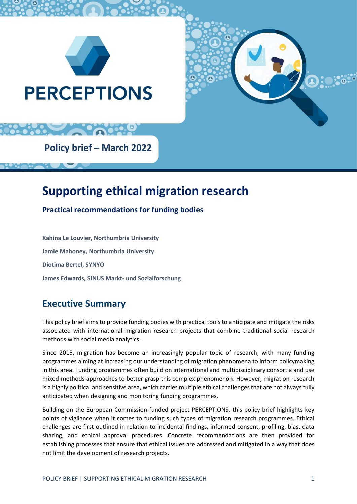



**Policy brief – March 2022**

# **Supporting ethical migration research**

**Practical recommendations for funding bodies**

**Kahina Le Louvier, Northumbria University Jamie Mahoney, Northumbria University Diotima Bertel, SYNYO James Edwards, SINUS Markt- und Sozialforschung**

## **Executive Summary**

This policy brief aims to provide funding bodies with practical tools to anticipate and mitigate the risks associated with international migration research projects that combine traditional social research methods with social media analytics.

Since 2015, migration has become an increasingly popular topic of research, with many funding programmes aiming at increasing our understanding of migration phenomena to inform policymaking in this area. Funding programmes often build on international and multidisciplinary consortia and use mixed-methods approaches to better grasp this complex phenomenon. However, migration research is a highly political and sensitive area, which carries multiple ethical challenges that are not always fully anticipated when designing and monitoring funding programmes.

Building on the European Commission-funded project PERCEPTIONS, this policy brief highlights key points of vigilance when it comes to funding such types of migration research programmes. Ethical challenges are first outlined in relation to incidental findings, informed consent, profiling, bias, data sharing, and ethical approval procedures. Concrete recommendations are then provided for establishing processes that ensure that ethical issues are addressed and mitigated in a way that does not limit the development of research projects.

D.O.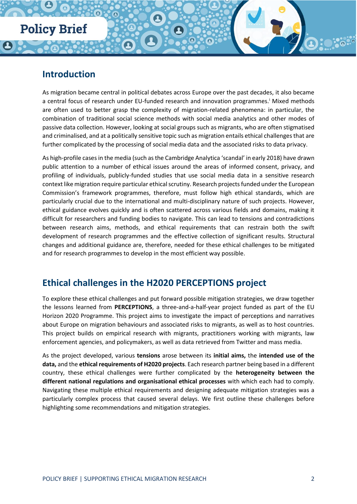## **Introduction**

As migration became central in political debates across Europe over the past decades, it also became a central focus of research under EU-funded research and innovation programmes.<sup>1</sup> Mixed methods are often used to better grasp the complexity of migration-related phenomena: in particular, the combination of traditional social science methods with social media analytics and other modes of passive data collection. However, looking at social groups such as migrants, who are often stigmatised and criminalised, and at a politically sensitive topic such as migration entails ethical challenges that are further complicated by the processing of social media data and the associated risks to data privacy.

As high-profile cases in the media (such as the Cambridge Analytica 'scandal' in early 2018) have drawn public attention to a number of ethical issues around the areas of informed consent, privacy, and profiling of individuals, publicly-funded studies that use social media data in a sensitive research context like migration require particular ethical scrutiny. Research projects funded under the European Commission's framework programmes, therefore, must follow high ethical standards, which are particularly crucial due to the international and multi-disciplinary nature of such projects. However, ethical guidance evolves quickly and is often scattered across various fields and domains, making it difficult for researchers and funding bodies to navigate. This can lead to tensions and contradictions between research aims, methods, and ethical requirements that can restrain both the swift development of research programmes and the effective collection of significant results. Structural changes and additional guidance are, therefore, needed for these ethical challenges to be mitigated and for research programmes to develop in the most efficient way possible.

## **Ethical challenges in the H2020 PERCEPTIONS project**

To explore these ethical challenges and put forward possible mitigation strategies, we draw together the lessons learned from **PERCEPTIONS**, a three-and-a-half-year project funded as part of the EU Horizon 2020 Programme. This project aims to investigate the impact of perceptions and narratives about Europe on migration behaviours and associated risks to migrants, as well as to host countries. This project builds on empirical research with migrants, practitioners working with migrants, law enforcement agencies, and policymakers, as well as data retrieved from Twitter and mass media.

As the project developed, various **tensions** arose between its **initial aims,** the **intended use of the data,** and the **ethical requirements of H2020 projects**. Each research partner being based in a different country, these ethical challenges were further complicated by the **heterogeneity between the different national regulations and organisational ethical processes** with which each had to comply. Navigating these multiple ethical requirements and designing adequate mitigation strategies was a particularly complex process that caused several delays. We first outline these challenges before highlighting some recommendations and mitigation strategies.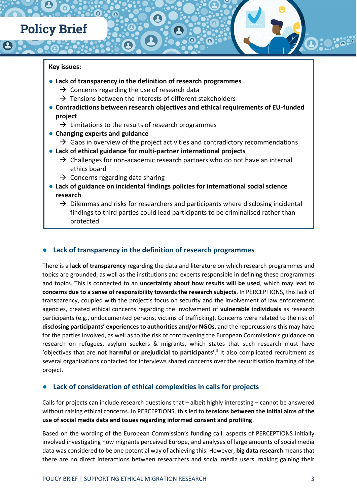#### **Key issues:**

- **Lack of transparency in the definition of research programmes** 
	- $\rightarrow$  Concerns regarding the use of research data
	- $\rightarrow$  Tensions between the interests of different stakeholders
- **Contradictions between research objectives and ethical requirements of EU-funded project**
	- $\rightarrow$  Limitations to the results of research programmes
- **Changing experts and guidance**
	- $\rightarrow$  Gaps in overview of the project activities and contradictory recommendations
- **Lack of ethical guidance for multi-partner international projects**
	- $\rightarrow$  Challenges for non-academic research partners who do not have an internal ethics board
	- $\rightarrow$  Concerns regarding data sharing
- **Lack of guidance on incidental findings policies for international social science research**
	- $\rightarrow$  Dilemmas and risks for researchers and participants where disclosing incidental findings to third parties could lead participants to be criminalised rather than protected

#### Lack of transparency in the definition of research programmes

There is a **lack of transparency** regarding the data and literature on which research programmes and topics are grounded, as well as the institutions and experts responsible in defining these programmes and topics. This is connected to an **uncertainty about how results will be used**, which may lead to **concerns due to a sense of responsibility towards the research subjects**. In PERCEPTIONS, this lack of transparency, coupled with the project's focus on security and the involvement of law enforcement agencies, created ethical concerns regarding the involvement of **vulnerable individuals** as research participants (e.g., undocumented persons, victims of trafficking). Concerns were related to the risk of **disclosing participants' experiences to authorities and/or NGOs**, and the repercussions this may have for the parties involved, as well as to the risk of contravening the European Commission's guidance on research on refugees, asylum seekers & migrants, which states that such research must have 'objectives that are not harmful or prejudicial to participants'.<sup>ii</sup> It also complicated recruitment as several organisations contacted for interviews shared concerns over the securitisation framing of the project.

#### Lack of consideration of ethical complexities in calls for projects

Calls for projects can include research questions that – albeit highly interesting – cannot be answered without raising ethical concerns. In PERCEPTIONS, this led to **tensions between the initial aims of the use of social media data and issues regarding informed consent and profiling**.

Based on the wording of the European Commission's funding call, aspects of PERCEPTIONS initially involved investigating how migrants perceived Europe, and analyses of large amounts of social media data was considered to be one potential way of achieving this. However, **big data research** means that there are no direct interactions between researchers and social media users, making gaining their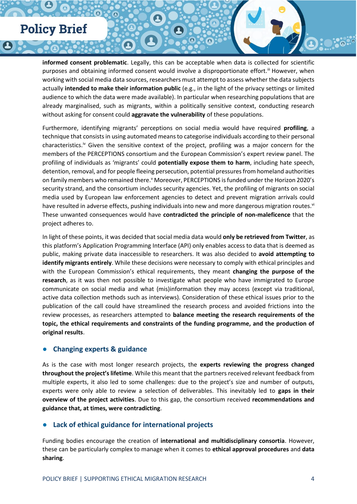**informed consent problematic**. Legally, this can be acceptable when data is collected for scientific purposes and obtaining informed consent would involve a disproportionate effort.<sup>iii</sup> However, when working with social media data sources, researchers must attempt to assess whether the data subjects actually **intended to make their information public** (e.g., in the light of the privacy settings or limited audience to which the data were made available). In particular when researching populations that are already marginalised, such as migrants, within a politically sensitive context, conducting research without asking for consent could **aggravate the vulnerability** of these populations.

Furthermore, identifying migrants' perceptions on social media would have required **profiling**, a technique that consists in using automated means to categorise individuals according to their personal characteristics.<sup>iv</sup> Given the sensitive context of the project, profiling was a major concern for the members of the PERCEPTIONS consortium and the European Commission's expert review panel. The profiling of individuals as 'migrants' could **potentially expose them to harm**, including hate speech, detention, removal, and for people fleeing persecution, potential pressures from homeland authorities on family members who remained there.<sup>v</sup> Moreover, PERCEPTIONS is funded under the Horizon 2020's security strand, and the consortium includes security agencies. Yet, the profiling of migrants on social media used by European law enforcement agencies to detect and prevent migration arrivals could have resulted in adverse effects, pushing individuals into new and more dangerous migration routes.<sup>vi</sup> These unwanted consequences would have **contradicted the principle of non-maleficence** that the project adheres to.

In light of these points, it was decided that social media data would **only be retrieved from Twitter**, as this platform's Application Programming Interface (API) only enables access to data that is deemed as public, making private data inaccessible to researchers. It was also decided to **avoid attempting to identify migrants entirely**. While these decisions were necessary to comply with ethical principles and with the European Commission's ethical requirements, they meant **changing the purpose of the research**, as it was then not possible to investigate what people who have immigrated to Europe communicate on social media and what (mis)information they may access (except via traditional, active data collection methods such as interviews). Consideration of these ethical issues prior to the publication of the call could have streamlined the research process and avoided frictions into the review processes, as researchers attempted to **balance meeting the research requirements of the topic, the ethical requirements and constraints of the funding programme, and the production of original results**.

#### **Changing experts & guidance**

As is the case with most longer research projects, the **experts reviewing the progress changed throughout the project's lifetime**. While this meant that the partners received relevant feedback from multiple experts, it also led to some challenges: due to the project's size and number of outputs, experts were only able to review a selection of deliverables. This inevitably led to **gaps in their overview of the project activities**. Due to this gap, the consortium received **recommendations and guidance that, at times, were contradicting**.

#### **Lack of ethical guidance for international projects**

Funding bodies encourage the creation of **international and multidisciplinary consortia**. However, these can be particularly complex to manage when it comes to **ethical approval procedures** and **data sharing**.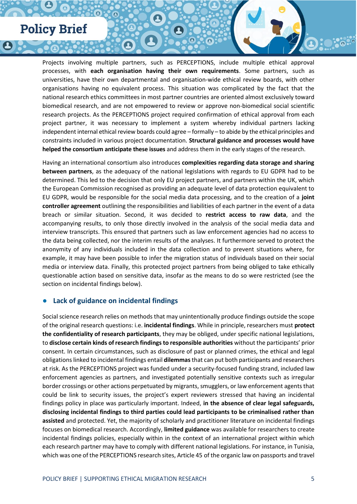Projects involving multiple partners, such as PERCEPTIONS, include multiple ethical approval processes, with **each organisation having their own requirements**. Some partners, such as universities, have their own departmental and organisation-wide ethical review boards, with other organisations having no equivalent process. This situation was complicated by the fact that the national research ethics committees in most partner countries are oriented almost exclusively toward biomedical research, and are not empowered to review or approve non-biomedical social scientific research projects. As the PERCEPTIONS project required confirmation of ethical approval from each project partner, it was necessary to implement a system whereby individual partners lacking independent internal ethical review boards could agree – formally – to abide by the ethical principles and constraints included in various project documentation. **Structural guidance and processes would have helped the consortium anticipate these issues** and address them in the early stages of the research.

Having an international consortium also introduces **complexities regarding data storage and sharing between partners**, as the adequacy of the national legislations with regards to EU GDPR had to be determined. This led to the decision that only EU project partners, and partners within the UK, which the European Commission recognised as providing an adequate level of data protection equivalent to EU GDPR, would be responsible for the social media data processing, and to the creation of a **joint controller agreement** outlining the responsibilities and liabilities of each partner in the event of a data breach or similar situation. Second, it was decided to **restrict access to raw data**, and the accompanying results, to only those directly involved in the analysis of the social media data and interview transcripts. This ensured that partners such as law enforcement agencies had no access to the data being collected, nor the interim results of the analyses. It furthermore served to protect the anonymity of any individuals included in the data collection and to prevent situations where, for example, it may have been possible to infer the migration status of individuals based on their social media or interview data. Finally, this protected project partners from being obliged to take ethically questionable action based on sensitive data, insofar as the means to do so were restricted (see the section on incidental findings below).

#### **Lack of guidance on incidental findings**

Social science research relies on methods that may unintentionally produce findings outside the scope of the original research questions: i.e. **incidental findings**. While in principle, researchers must **protect the confidentiality of research participants**, they may be obliged, under specific national legislations, to **disclose certain kinds of research findings to responsible authorities** without the participants' prior consent. In certain circumstances, such as disclosure of past or planned crimes, the ethical and legal obligations linked to incidental findings entail **dilemmas**that can put both participants and researchers at risk. As the PERCEPTIONS project was funded under a security-focused funding strand, included law enforcement agencies as partners, and investigated potentially sensitive contexts such as irregular border crossings or other actions perpetuated by migrants, smugglers, or law enforcement agents that could be link to security issues, the project's expert reviewers stressed that having an incidental findings policy in place was particularly important. Indeed, **in the absence of clear legal safeguards, disclosing incidental findings to third parties could lead participants to be criminalised rather than assisted** and protected. Yet, the majority of scholarly and practitioner literature on incidental findings focuses on biomedical research. Accordingly, **limited guidance** was available for researchers to create incidental findings policies, especially within in the context of an international project within which each research partner may have to comply with different national legislations. For instance, in Tunisia, which was one of the PERCEPTIONS research sites, Article 45 of the organic law on passports and travel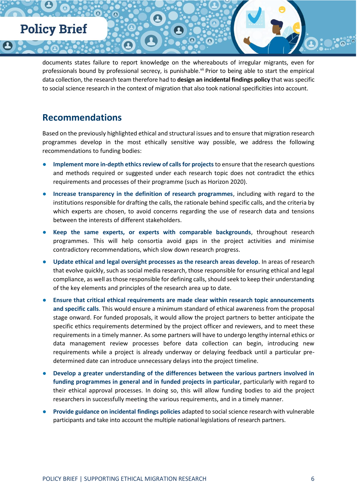documents states failure to report knowledge on the whereabouts of irregular migrants, even for professionals bound by professional secrecy, is punishable.<sup>vii</sup> Prior to being able to start the empirical data collection, the research team therefore had to **design an incidental findings policy** that was specific to social science research in the context of migration that also took national specificities into account.

### **Recommendations**

Based on the previously highlighted ethical and structural issues and to ensure that migration research programmes develop in the most ethically sensitive way possible, we address the following recommendations to funding bodies:

- **Implement more in-depth ethics review of calls for projects to ensure that the research questions** and methods required or suggested under each research topic does not contradict the ethics requirements and processes of their programme (such as Horizon 2020).
- **Increase transparency in the definition of research programmes**, including with regard to the institutions responsible for drafting the calls, the rationale behind specific calls, and the criteria by which experts are chosen, to avoid concerns regarding the use of research data and tensions between the interests of different stakeholders.
- Keep the same experts, or experts with comparable backgrounds, throughout research programmes. This will help consortia avoid gaps in the project activities and minimise contradictory recommendations, which slow down research progress.
- Update ethical and legal oversight processes as the research areas develop. In areas of research that evolve quickly, such as social media research, those responsible for ensuring ethical and legal compliance, as well as those responsible for defining calls, should seek to keep their understanding of the key elements and principles of the research area up to date.
- **Ensure that critical ethical requirements are made clear within research topic announcements and specific calls**. This would ensure a minimum standard of ethical awareness from the proposal stage onward. For funded proposals, it would allow the project partners to better anticipate the specific ethics requirements determined by the project officer and reviewers, and to meet these requirements in a timely manner. As some partners will have to undergo lengthy internal ethics or data management review processes before data collection can begin, introducing new requirements while a project is already underway or delaying feedback until a particular predetermined date can introduce unnecessary delays into the project timeline.
- **Develop a greater understanding of the differences between the various partners involved in funding programmes in general and in funded projects in particular**, particularly with regard to their ethical approval processes. In doing so, this will allow funding bodies to aid the project researchers in successfully meeting the various requirements, and in a timely manner.
- **Provide guidance on incidental findings policies** adapted to social science research with vulnerable participants and take into account the multiple national legislations of research partners.